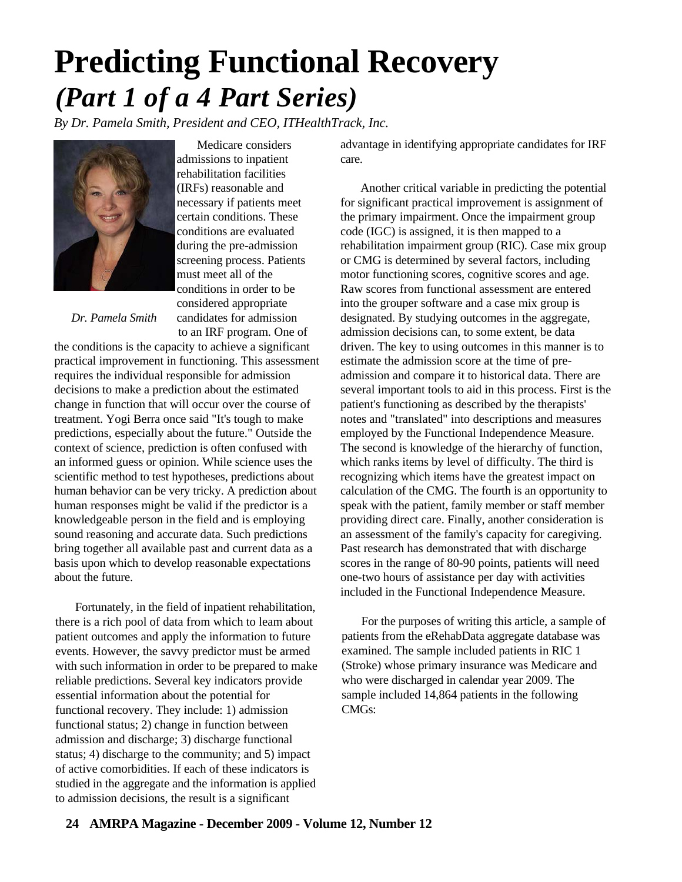## **Predicting Functional Recovery** *(Part 1 of a 4 Part Series)*

*By Dr. Pamela Smith, President and CEO, ITHealthTrack, Inc.*



Medicare considers admissions to inpatient rehabilitation facilities (IRFs) reasonable and necessary if patients meet certain conditions. These conditions are evaluated during the pre-admission screening process. Patients must meet all of the conditions in order to be considered appropriate candidates for admission to an IRF program. One of

*Dr. Pamela Smith*

the conditions is the capacity to achieve a significant practical improvement in functioning. This assessment requires the individual responsible for admission decisions to make a prediction about the estimated change in function that will occur over the course of treatment. Yogi Berra once said "It's tough to make predictions, especially about the future." Outside the context of science, prediction is often confused with an informed guess or opinion. While science uses the scientific method to test hypotheses, predictions about human behavior can be very tricky. A prediction about human responses might be valid if the predictor is a knowledgeable person in the field and is employing sound reasoning and accurate data. Such predictions bring together all available past and current data as a basis upon which to develop reasonable expectations about the future.

Fortunately, in the field of inpatient rehabilitation, there is a rich pool of data from which to leam about patient outcomes and apply the information to future events. However, the savvy predictor must be armed with such information in order to be prepared to make reliable predictions. Several key indicators provide essential information about the potential for functional recovery. They include: 1) admission functional status; 2) change in function between admission and discharge; 3) discharge functional status; 4) discharge to the community; and 5) impact of active comorbidities. If each of these indicators is studied in the aggregate and the information is applied to admission decisions, the result is a significant

advantage in identifying appropriate candidates for IRF care.

Another critical variable in predicting the potential for significant practical improvement is assignment of the primary impairment. Once the impairment group code (IGC) is assigned, it is then mapped to a rehabilitation impairment group (RIC). Case mix group or CMG is determined by several factors, including motor functioning scores, cognitive scores and age. Raw scores from functional assessment are entered into the grouper software and a case mix group is designated. By studying outcomes in the aggregate, admission decisions can, to some extent, be data driven. The key to using outcomes in this manner is to estimate the admission score at the time of preadmission and compare it to historical data. There are several important tools to aid in this process. First is the patient's functioning as described by the therapists' notes and "translated" into descriptions and measures employed by the Functional Independence Measure. The second is knowledge of the hierarchy of function, which ranks items by level of difficulty. The third is recognizing which items have the greatest impact on calculation of the CMG. The fourth is an opportunity to speak with the patient, family member or staff member providing direct care. Finally, another consideration is an assessment of the family's capacity for caregiving. Past research has demonstrated that with discharge scores in the range of 80-90 points, patients will need one-two hours of assistance per day with activities included in the Functional Independence Measure.

For the purposes of writing this article, a sample of patients from the eRehabData aggregate database was examined. The sample included patients in RIC 1 (Stroke) whose primary insurance was Medicare and who were discharged in calendar year 2009. The sample included 14,864 patients in the following CMGs: